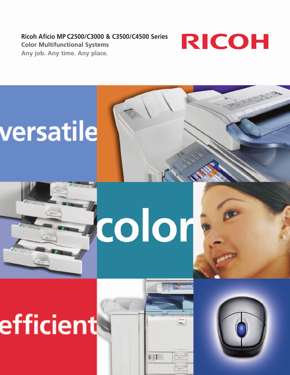**Ricoh Aficio MP C2500/C3000 & C3500/C4500 Series Color Multifunctional Systems Any job. Any time. Any place.**



# versatile



# efficient



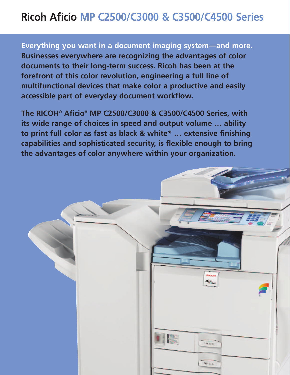# **Ricoh Aficio MP C2500/C3000 & C3500/C4500 Series**

**Everything you want in a document imaging system—and more. Businesses everywhere are recognizing the advantages of color documents to their long-term success. Ricoh has been at the forefront of this color revolution, engineering a full line of multifunctional devices that make color a productive and easily accessible part of everyday document workflow.**

**The RICOH® Aficio® MP C2500/C3000 & C3500/C4500 Series, with its wide range of choices in speed and output volume … ability to print full color as fast as black & white\* … extensive finishing capabilities and sophisticated security, is flexible enough to bring the advantages of color anywhere within your organization.**

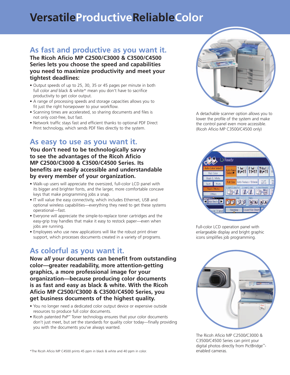# **VersatileProductiveReliableColor**

## **As fast and productive as you want it.**

**The Ricoh Aficio MP C2500/C3000 & C3500/C4500 Series lets you choose the speed and capabilities you need to maximize productivity and meet your tightest deadlines:** 

- Output speeds of up to 25, 30, 35 or 45 pages per minute in both full color *and* black & white\* mean you don't have to sacrifice productivity to get color output.
- A range of processing speeds and storage capacities allows you to fit just the right horsepower to your workflow.
- Scanning times are accelerated, so sharing documents and files is not only cost-free, but fast.
- Network traffic stays fast and efficient thanks to optional PDF Direct Print technology, which sends PDF files directly to the system.

#### **As easy to use as you want it.**

**You don't need to be technologically savvy to see the advantages of the Ricoh Aficio MP C2500/C3000 & C3500/C4500 Series. Its benefits are easily accessible and understandable by every member of your organization.** 

- Walk-up users will appreciate the oversized, full-color LCD panel with its bigger and brighter fonts, and the larger, more comfortable concave keys that make programming jobs a snap.
- IT will value the easy connectivity, which includes Ethernet, USB and optional wireless capabilities—everything they need to get these systems operational—fast.
- Everyone will appreciate the simple-to-replace toner cartridges and the easy-grip tray handles that make it easy to restock paper—even when jobs are running.
- Employees who use new applications will like the robust print driver support, which processes documents created in a variety of programs.

#### **As colorful as you want it.**

**Now** *all* **your documents can benefit from outstanding color—greater readability, more attention-getting graphics, a more professional image for your organization—because producing color documents is as fast and easy as black & white. With the Ricoh Aficio MP C2500/C3000 & C3500/C4500 Series, you get business documents of the highest quality.** 

- You no longer need a dedicated color output device or expensive outside resources to produce full color documents.
- Ricoh patented PxP™ Toner technology ensures that your color documents don't just meet, but *set* the standards for quality color today—finally providing you with the documents you've always wanted.



A detachable scanner option allows you to lower the profile of the system and make the control panel even more accessible. (Ricoh Aficio MP C3500/C4500 only)



Full-color LCD operation panel with enlargeable display and bright graphic icons simplifies job programming.



The Ricoh Aficio MP C2500/C3000 & C3500/C4500 Series can print your digital photos directly from PictBridge™ enabled cameras.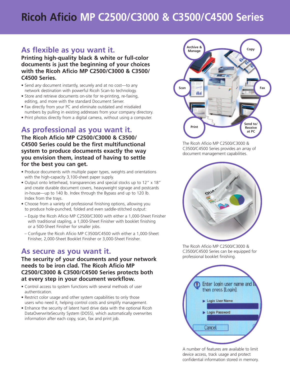# **Ricoh Aficio MP C2500/C3000 & C3500/C4500 Series**

## **As flexible as you want it.**

**Printing high-quality black & white or full-color documents is just the beginning of your choices with the Ricoh Aficio MP C2500/C3000 & C3500/ C4500 Series.** 

- Send *any* document instantly, securely and at no cost—to any network destination with powerful Ricoh Scan-to technology.
- Store and retrieve documents on-site for re-printing, re-faxing, editing, and more with the standard Document Server.
- Fax directly from your PC and eliminate outdated and misdialed numbers by pulling in existing addresses from your company directory.
- Print photos directly from a digital camera, without using a computer.

## **As professional as you want it.**

**The Ricoh Aficio MP C2500/C3000 & C3500/ C4500 Series could be the first multifunctional system to produce documents exactly the way you envision them, instead of having to settle for the best you can get.** 

- Produce documents with multiple paper types, weights and orientations with the high-capacity 3,100-sheet paper supply.
- Output onto letterhead, transparencies and special stocks up to 12" x 18" and create durable document covers, heavyweight signage and postcards in-house—up to 140 lb. Index through the Bypass and up to 120 lb. Index from the trays.
- Choose from a variety of professional finishing options, allowing you to produce hole-punched, folded and even saddle-stitched output:
- Equip the Ricoh Aficio MP C2500/C3000 with either a 1,000-Sheet Finisher with traditional stapling, a 1,000-Sheet Finisher with booklet finishing or a 500-Sheet Finisher for smaller jobs.
- Configure the Ricoh Aficio MP C3500/C4500 with either a 1,000-Sheet Finisher, 2,000-Sheet Booklet Finisher or 3,000-Sheet Finisher.

## **As secure as you want it.**

**The security of your documents and your network needs to be iron clad. The Ricoh Aficio MP C2500/C3000 & C3500/C4500 Series protects both at every step in your document workflow.** 

- Control access to system functions with several methods of user authentication.
- Restrict color usage and other system capabilities to only those users who need it, helping control costs and simplify management.
- Enhance the security of latent hard drive data with the optional Ricoh DataOverwriteSecurity System (DOSS), which automatically overwrites information after each copy, scan, fax and print job.



The Ricoh Aficio MP C2500/C3000 & C3500/C4500 Series provides an array of document management capabilities.



The Ricoh Aficio MP C2500/C3000 & C3500/C4500 Series can be equipped for professional booklet finishing.



A number of features are available to limit device access, track usage and protect confidential information stored in memory.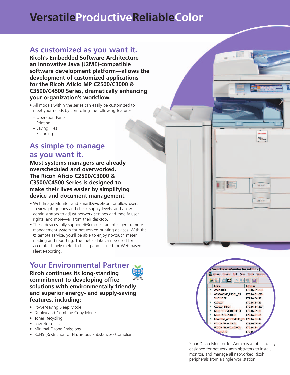# **VersatileProductiveReliableColor**

#### **As customized as you want it.**

**Ricoh's Embedded Software Architecture an innovative Java (J2ME)-compatible software development platform—allows the development of customized applications for the Ricoh Aficio MP C2500/C3000 & C3500/C4500 Series, dramatically enhancing your organization's workflow.**

- All models within the series can easily be customized to meet your needs by controlling the following features:
- Operation Panel
- Printing
- Saving Files
- Scanning

## **As simple to manage as you want it.**

**Most systems managers are already overscheduled and overworked. The Ricoh Aficio C2500/C3000 & C3500/C4500 Series is designed to make their lives easier by simplifying device and document management.** 

- Web Image Monitor and SmartDeviceMonitor allow users to view job queues and check supply levels, and allow administrators to adjust network settings and modify user rights, and more—all from their desktop.
- These devices fully support @Remote—an intelligent remote management system for networked printing devices. With the @Remote service, you'll be able to enjoy no-touch meter reading and reporting. The meter data can be used for accurate, timely meter-to-billing and is used for Web-based Fleet Reporting.

## **Your Environmental Partner**

**Ricoh continues its long-standing commitment to developing office solutions with environmentally friendly and superior energy- and supply-saving features, including:** 

- Power-saving Sleep Mode
- Duplex and Combine Copy Modes
- Toner Recycling
- Low Noise Levels
- Minimal Ozone Emissions
- RoHS (Restriction of Hazardous Substances) Compliant





Aficio

100 (11)

 $200 - 64$ 

SmartDeviceMonitor for Admin is a robust utility designed for network administrators to install, monitor, and manage all networked Ricoh peripherals from a single workstation.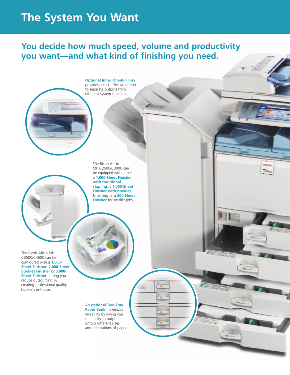## **The System You Want**

## **You decide how much speed, volume and productivity you want—and what kind of finishing you need.**

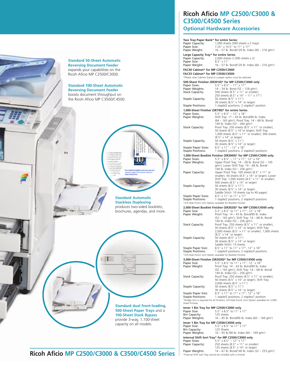

#### **Two Tray Paper Bank\* for entire Series**<br>Paper Canacity: 1,000 sheets (500 Paper Capacity: 1,000 sheets (500 sheets x 2 trays) **Optional Hardware Accessories**

**C3500/C4500 Series**

**Ricoh Aficio MP C2500/C3000 &**

| Paper Capacity:                                           | 1,000 sheets (500 sheets x 2 trays)                                                                       |
|-----------------------------------------------------------|-----------------------------------------------------------------------------------------------------------|
| Paper Size:<br>Paper Weight:                              | 7.25" x 10.5" to 11" x 17"<br>16 - 57 lb. Bond/120 lb. Index (60 - 216 g/m <sup>2</sup> )                 |
|                                                           |                                                                                                           |
| Large Capacity Tray* for entire Series<br>Paper Capacity: | 2,000 sheets (1,000 sheets x 2)                                                                           |
| Paper Size:                                               | $8.5'' \times 11''$                                                                                       |
| Paper Weight:                                             | 16 - 57 lb. Bond/120 lb. Index (60 - 216 g/m <sup>2</sup> )                                               |
| FAC30 Cabinet* for MP C2500/C3000                         |                                                                                                           |
| FAC33 Cabinet* for MP C3500/C4500                         |                                                                                                           |
|                                                           | *Please note Cabinet Stand or a paper option must be selected.                                            |
|                                                           | 500-Sheet Finisher (SR3010)* for MP C2500/C3000 only                                                      |
| Paper Sizes:<br>Paper Weights:                            | $5.5''$ x $8.5'' - 11''$ x $17''$<br>$14 - 34$ lb. Bond (52 - 128 g/m <sup>2</sup> )                      |
| <b>Stack Capacity:</b>                                    | 500 sheets (8.5" x 11" or smaller)                                                                        |
|                                                           | 250 sheets (8.5" x 14" - 11" x 17")                                                                       |
| <b>Staple Capacity:</b>                                   | 50 sheets (8.5" x 11")<br>30 sheets (8.5" x 14" or larger)                                                |
| <b>Staple Positions:</b>                                  | 1 staple/2 positions; 2 staples/1 position                                                                |
|                                                           | 1,000-Sheet Finisher (SR790)* for entire Series                                                           |
| Paper Sizes:                                              | $5.5''$ x $8.5'' - 12''$ x $18''$                                                                         |
| Paper Weights:                                            | Shift Tray: 17 - 43 lb. Bond/90 lb. Index                                                                 |
|                                                           | (64 – 163 g/m <sup>2</sup> ); Proof Tray: 14 – 68 lb. Bond/<br>140 lb. Index (52 - 260 g/m <sup>2</sup> ) |
| <b>Stack Capacity:</b>                                    | Proof Tray: 250 sheets (8.5" x 11" or smaller),                                                           |
|                                                           | 50 sheets (8.5" x 14" or larger); Shift Tray:                                                             |
|                                                           | 1,000 sheets $(8.5" \times 11"$ or smaller), 500 sheets<br>(8.5" x 14" or larger)                         |
| <b>Staple Capacity:</b>                                   | 50 sheets (8.5" x 11")<br>30 sheets (8.5" x 14" or larger)                                                |
|                                                           |                                                                                                           |
| Staple Paper Sizes:<br><b>Staple Positions:</b>           | $8.5''$ x $11'' - 12''$ x $18''$<br>1 staple/2 positions; 2 staples/2 positions                           |
|                                                           | 1,000-Sheet Booklet Finisher (SR3000)* for MP C2500/C3000 only                                            |
| Paper Sizes:                                              | 5.5" x 8.5" - 11" x 17", 12" x 18"                                                                        |
| Paper Weights:                                            | Upper Proof Tray: 14 - 28 lb. Bond (52 - 105                                                              |
|                                                           | $q/m^2$ ); Lower Shift Tray: $14 - 68$ lb. Bond/<br>140 lb. Index $(52 - 256 \text{ g/m}^2)$              |
| Paper Capacity:                                           | Upper Proof Tray: 100 sheets (8.5" x 11" or                                                               |
|                                                           | smaller), 50 sheets (8.5" x 14" or larger); Lower                                                         |
|                                                           | Shift Tray: 1,000 sheets (8.5" x 11" or smaller),<br>500 sheets (8.5" x 14" or larger)                    |
| <b>Staple Capacity:</b>                                   | 50 sheets (8.5" x 11")                                                                                    |
|                                                           | 30 sheets (8.5" x 14" or larger)                                                                          |
| Staple Paper Sizes:                                       | Saddle Stitch: 10 sheets (up to 40 pages)<br>8.5" x 11" to 11" x 17"                                      |
|                                                           |                                                                                                           |
| <b>Staple Positions:</b>                                  | 1 staple/2 positions; 2 staples/3 positions                                                               |
|                                                           | *2/3-Hole Punch Unit Option available for Booklet Finisher                                                |
|                                                           | 2,000-Sheet Booklet Finisher (SR3020)* for MP C3500/C4500 only                                            |
| Paper Size:                                               | 5.5" x 8.5" to 11" x 17", 12" x 18"                                                                       |
| Paper Weight:                                             | Proof Tray: 14 - 43 lb. Bond/90 lb. Index                                                                 |
|                                                           | (52 - 163 g/m <sup>2</sup> ); Shift Tray: 14 - 68 lb. Bond/<br>140 lb. Index (52 – 256 g/m <sup>2</sup> ) |
| <b>Stack Capacity:</b>                                    | Proof Tray: 250 sheets (8.5" x 11" or smaller),                                                           |
|                                                           | 50 sheets (8.5" x 14" or larger); Shift Tray:                                                             |
|                                                           | 2,000 sheets (8.5" x 11" or smaller), 1,000 sheets<br>(8.5" x 14" or larger)                              |
| <b>Staple Capacity:</b>                                   | 50 sheets (8.5" x 11")                                                                                    |
|                                                           | 30 sheets (8.5" x 14" or larger)                                                                          |
| Staple Paper Size:                                        | Saddle Stitch: 15 sheets<br>8.5" x 11" to 11" x 17", 12" x 18"                                            |
| <b>Staple Positions:</b>                                  | 1 staple/3 positions; 2 staples/3 positions                                                               |
|                                                           | *2/3-Hole Punch Unit Option available for Booklet Finisher                                                |
|                                                           | 3,000-Sheet Finisher (SR3030)* for MP C3500/C4500 only                                                    |
| Paper Size:<br>Paper Weight:                              | 5.5" x 8.5" to 11" x 17", 12" x 18"<br>Proof Tray: 14 - 43 lb. Bond/90 lb. Index                          |
|                                                           | (52 - 163 g/m <sup>2</sup> ); Shift Tray: 14 - 68 lb. Bond/                                               |
|                                                           | 140 lb. Index $(52 - 256 \text{ g/m}^2)$                                                                  |
| <b>Stack Capacity:</b>                                    | Proof Tray: 250 sheets (8.5" x 11" or smaller),<br>50 sheets (8.5" x 14" or larger); Shift Tray:          |
|                                                           | 3,000 sheets (8.5" x 11")                                                                                 |
| <b>Staple Capacity:</b>                                   | 50 sheets (8.5" x 11")                                                                                    |
| Staple Paper Size:                                        | 30 sheets (8.5" x 14" or larger)                                                                          |
| <b>Staple Positions:</b>                                  | 8.5" x 11" to 11" x 17", 12" x 18"<br>1 staple/3 positions; 2 staples/1 position                          |
|                                                           | *Bridge Unit is required for all finishers. 2/3-Hole Punch Unit Option available for 3,000-               |
| Sheet Finisher.                                           |                                                                                                           |
| Inner 1 Bin Tray for MP C2500/C3000 only<br>Paper Size:   | 5.5" x 8.5" to 11" x 17"                                                                                  |
| Bin Capacity:                                             | 125 sheets                                                                                                |
| Paper Weights:                                            | 16 – 45 lb. Bond/90 lb. Index (60 – 169 g/m <sup>2</sup> )                                                |
| Inner 1 Bin Tray for MP C3500/C4500 only                  |                                                                                                           |
| Paper Size:<br>Bin Capacity:                              | 5.5" x 8.5" to 11" x 17"<br>125 Sheets                                                                    |
| Paper Weights:                                            | 16 - 45 lb./90 lb. Index (60 - 169 g/m <sup>2</sup> )                                                     |
|                                                           | Internal Shift Sort Tray* for MP C2500/C3000 only                                                         |
| Paper Sizes:                                              | $5.5''$ x $8.5''$ - 12" x 17"                                                                             |
| Paper Capacity:                                           | 250 sheets (8.5" x 11" or smaller)<br>125 sheets (8.5" x 14" or larger)                                   |

\*Internal Shift Sort Tray cannot be installed with a finisher

**Ricoh Aficio MP C2500/C3000 & C3500/C4500 Series**